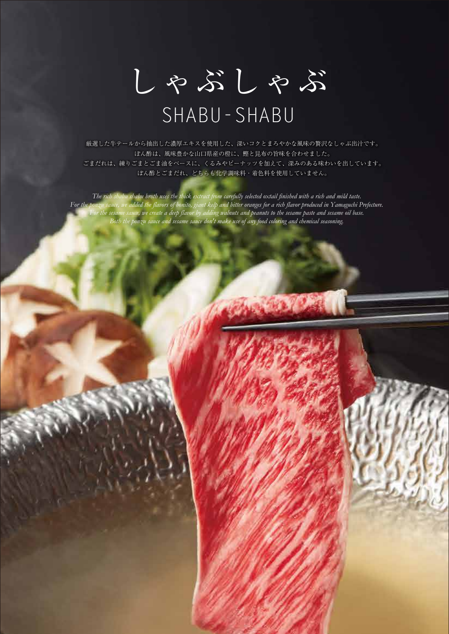しゃぶしゃぶ

## SHABU-SHABU

厳選した牛テールから抽出した濃厚エキスを使用した、深いコクとまろやかな風味の贅沢なしゃぶ出汁です。 ぽん酢は、風味豊かな山口県産の橙に、鰹と昆布の旨味を合わせました。 ごまだれは、練りごまとごま油をベースに、くるみやピーナッツを加えて、深みのある味わいを出しています。 ぽん酢とごまだれ、どちらも化学調味料・着色料を使用していません。

*The rich shabu shabu broth uses the thick extract from carefully selected oxtail finished with a rich and mild taste. For the ponzu sauce, we added the flavors of bonito, giant kelp and bitter oranges for a rich flavor produced in Yamaguchi Prefecture. For the sesame sauce, we create a deep flavor by adding walnuts and peanuts to the sesame paste and sesame oil base. Both the ponzu sauce and sesame sauce don't make use of any food coloring and chemical seasoning.*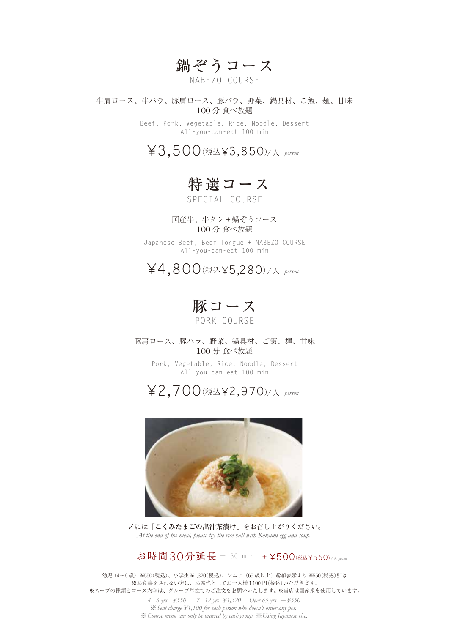## 鍋ぞうコース

NABEZO COURSE

#### 牛肩ロース、牛バラ、豚肩ロース、豚バラ、野菜、鍋具材、ご飯、麺、甘味 100 分 食べ放題

Beef, Pork, Vegetable, Rice, Noodle, Dessert All-you-can-eat 100 min

¥3,500(税込¥3,850)/人 *person*

#### **<sup>国</sup>**特選コース

SPECIAL COURSE

国産牛、牛タン+鍋ぞうコース 100 分 食べ放題

Japanese Beef, Beef Tongue + NABEZO COURSE All-you-can-eat 100 min

¥4,800(税込¥5,280)/人 *person*

豚コース

PORK COURSE

豚肩ロース、豚バラ、野菜、鍋具材、ご飯、麺、甘味 100 分 食べ放題

> Pork, Vegetable, Rice, Noodle, Dessert All-you-can-eat 100 min





〆には**「こくみたまごの出汁茶漬け」**をお召し上がりください。 *At the end of the meal, please try the rice ball with Kokumi egg and soup.*

お時間30分延長 <sup>+</sup> 30 min + ¥500(税込¥550)/ 人 *person*

幼児 (4~6歳) ¥550(税込)、小学生 ¥1,320(税込)、シニア (65 歳以上) 総額表示より ¥550(税込)引き ※お食事をされない方は、お席代としてお一人様 1,100 円(税込)いただきます。 ※スープの種類とコース内容は、グループ単位でのご注文をお願いいたします。 ※当店は国産米を使用しています。

> *4 - 6 yrs ¥550 7 - 12 yrs ¥1,320 Over 65 yrs* -*¥550* ※*Seat charge ¥1,100 for each person who doesn't order any pot.*  ※*Course menu can only be ordered by each group.* ※*Using Japanese rice.*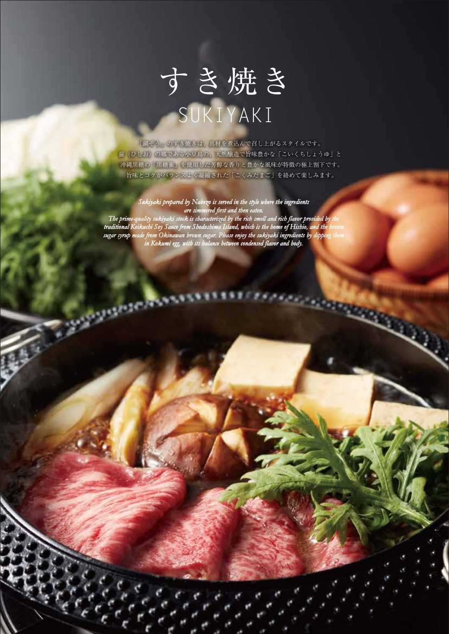# すき焼き SUKIYAKI

「鍋ぞう」のすき焼きは、具材を煮込んで召し上がるスタイルです。 醤(ひしお)の郷である小豆島の、天然醸造で旨味豊かな「こいくちしょうゆ」と 沖縄黒糖の「黒糖蜜」を使用した芳醇な香りと豊かな風味が特徴の極上割下です。 旨味とコクがバランスよく凝縮された「こくみたまご」を絡めて楽しみます。

#### *Sukiyaki prepared by Nabezo is served in the style where the ingredients are simmered first and then eaten.*

*The prime-quality sukiyaki stock is characterized by the rich smell and rich flavor provided by the traditional Koikuchi Soy Sauce from Shodoshima Island, which is the home of Hishio, and the brown sugar syrup made from Okinawan brown sugar. Please enjoy the sukiyaki ingredients by dipping them in Kokumi egg, with its balance between condensed flavor and body.*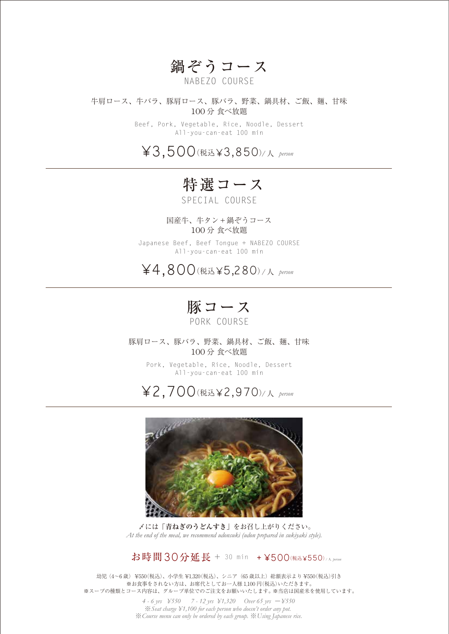#### 鍋ぞうコース

NABEZO COURSE

牛肩ロース、牛バラ、豚肩ロース、豚バラ、野菜、鍋具材、ご飯、麺、甘味 100 分 食べ放題

> Beef, Pork, Vegetable, Rice, Noodle, Dessert All-you-can-eat 100 min

¥3,500(税込¥3,850)/人 *person*

**<sup>国</sup>**特選コース

SPECIAL COURSE

国産牛、牛タン+鍋ぞうコース 100 分 食べ放題

Japanese Beef, Beef Tongue + NABEZO COURSE All-you-can-eat 100 min

¥4,800(税込¥5,280)/人 *person*

豚コース

PORK COURSE

豚肩ロース、豚バラ、野菜、鍋具材、ご飯、麺、甘味 100 分 食べ放題

> Pork, Vegetable, Rice, Noodle, Dessert All-you-can-eat 100 min

¥2,700(税込¥2,970) /人 *person*



〆には**「青ねぎのうどんすき」**をお召し上がりください。 *At the end of the meal, we recommend udonsuki (udon prepared in sukiyaki style).*

#### お時間30分延長 <sup>+</sup> 30 min + ¥500(税込¥550)/ 人 *person*

幼児 (4~6歳) ¥550(税込)、小学生 ¥1,320(税込)、シニア (65 歳以上) 総額表示より ¥550(税込)引き ※お食事をされない方は、お席代としてお一人様 1,100 円(税込)いただきます。 ※スープの種類とコース内容は、グループ単位でのご注文をお願いいたします。 ※当店は国産米を使用しています。

> *4 - 6 yrs ¥550 7 - 12 yrs ¥1,320 Over 65 yrs* -*¥550* ※*Seat charge ¥1,100 for each person who doesn't order any pot.*  ※*Course menu can only be ordered by each group.* ※*Using Japanese rice.*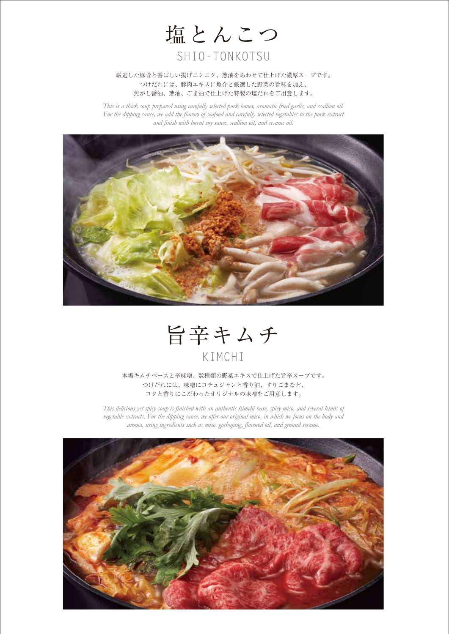

#### 厳選した豚骨と香ばしい揚げニンニク、葱油をあわせて仕上げた濃厚スープです。 つけだれには、豚肉エキスに魚介と厳選した野菜の旨味を加え、 焦がし醤油、葱油、ごま油で仕上げた特製の塩だれをご用意します。

*This is a thick soup prepared using carefully selected pork bones, aromatic fried garlic, and scallion oil. For the dipping sauce, we add the flavors of seafood and carefully selected vegetables to the pork extract and finish with burnt soy sauce, scallion oil, and sesame oil.*



旨辛キムチ KIMCHI

本場キムチベースと辛味噌、数種類の野菜エキスで仕上げた旨辛スープです。 つけだれには、味噌にコチュジャンと香り油、すりごまなど、 コクと香りにこだわったオリジナルの味噌をご用意します。

*This delicious yet spicy soup is finished with an authentic kimchi base, spicy miso, and several kinds of vegetable extracts. For the dipping sauce, we offer our original miso, in which we focus on the body and aroma, using ingredients such as miso, gochujang, flavored oil, and ground sesame.*

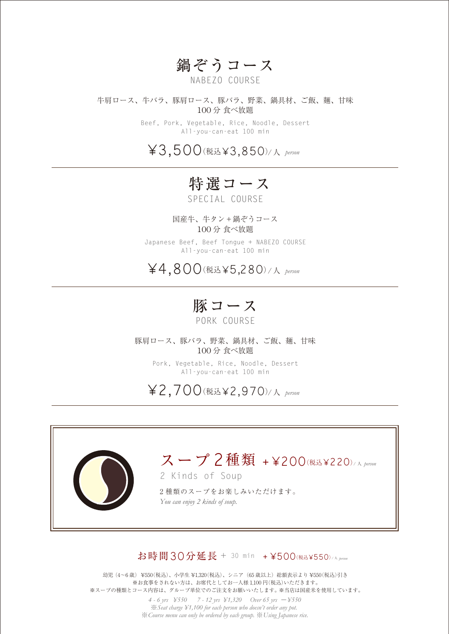#### 鍋ぞうコース

NABEZO COURSE

牛肩ロース、牛バラ、豚肩ロース、豚バラ、野菜、鍋具材、ご飯、麺、甘味 100 分 食べ放題

> Beef, Pork, Vegetable, Rice, Noodle, Dessert All-you-can-eat 100 min

¥3,500(税込¥3,850)/人 *person*

**<sup>国</sup>**特選コース

SPECIAL COURSE

国産牛、牛タン+鍋ぞうコース 100 分 食べ放題

Japanese Beef, Beef Tongue + NABEZO COURSE All-you-can-eat 100 min

¥4,800(税込¥5,280)/人 *person*

豚コース

PORK COURSE

豚肩ロース、豚バラ、野菜、鍋具材、ご飯、麺、甘味 100 分 食べ放題

Pork, Vegetable, Rice, Noodle, Dessert All-you-can-eat 100 min

¥2,700(税込¥2,970) /人 *person*



#### お時間30分延長 + 30 min + ¥500 (税込¥550)/A proo

幼児 (4~6歳) ¥550(税込)、小学生 ¥1,320(税込)、シニア (65 歳以上) 総額表示より ¥550(税込)引き ※お食事をされない方は、お席代としてお一人様 1,100 円(税込)いただきます。 ※スープの種類とコース内容は、グループ単位でのご注文をお願いいたします。 ※当店は国産米を使用しています。

> *4 - 6 yrs ¥550 7 - 12 yrs ¥1,320 Over 65 yrs* -*¥550* ※*Seat charge ¥1,100 for each person who doesn't order any pot.*  ※*Course menu can only be ordered by each group.* ※*Using Japanese rice.*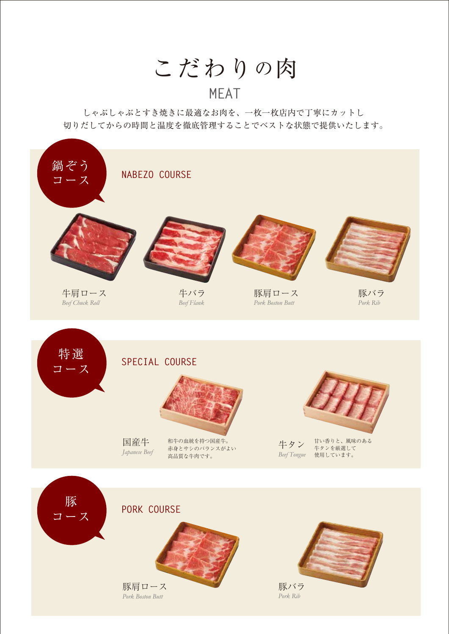こだわりの肉

## **MEAT**

しゃぶしゃぶとすき焼きに最適なお肉を、一枚一枚店内で丁寧にカットし 切りだしてからの時間と温度を徹底管理することでベストな状態で提供いたします。

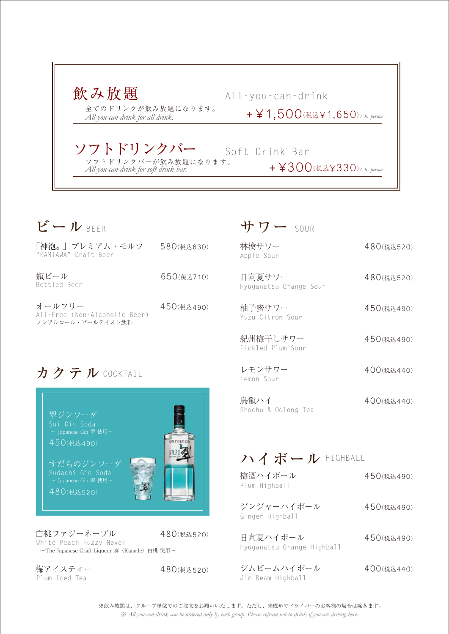

| ビール BEER                                                     |            |                    |
|--------------------------------------------------------------|------------|--------------------|
| 「神泡。」プレミアム・モルツ<br>"KAMIAWA" Draft Beer                       | 580(税込630) | $\overline{A}$     |
| 瓶ビール<br>Bottled Beer                                         | 650(税込710) |                    |
| オールフリー<br>All-Free (Non-Alcoholic Beer)<br>ノンアルコール・ビールテイスト飲料 | 450(税込490) | $\frac{1}{2}$<br>Y |
|                                                              |            | 并<br>P             |
| カクテル COCKTAIL                                                |            |                    |
| 翠ジンソーダ<br>Sui Gin Soda<br>~ Japanese Gin 翠 使用~<br>450(税込490) |            | ļ<br>S             |
| すだちのジンソーダ                                                    |            |                    |

 $\sim$  Japanese Gin 翠 使用 $\sim$ 480(税込520)

白桃ファジーネーブル 480(税込520) White Peach Fuzzy Navel ~The Japanese Craft Liqueur 奏〈Kanade〉白桃 使用~

梅アイスティー Plum Iced Tea

480(税込520)

林檎サワー Apple Sour

日向夏サワー Hyuganatsu Orange Sour 480(税込520)

450(税込490)

450(税込490)

400(税込440)

400(税込440)

480(税込520)

柚子蜜サワー Yuzu Citron Sour

紀州梅干しサワー Pickled Plum Sour

レモンサワー Lemon Sour

烏龍ハイ Shochu & Oolong Tea

#### ハイボール HIGHBALL

| 梅酒ハイボール<br>Plum Highball               | 450(税込490) |
|----------------------------------------|------------|
| ジンジャーハイボール<br>Ginger Highball          | 450(税込490) |
| 日向夏ハイボール<br>Hyuganatsu Orange Highball | 450(税込490) |
| ジムビームハイボール                             | 400(税込440) |

※*All-you-can-drink can be ordered only by each group. Please refrain not to drink if you are driving here.* ※飲み放題は、グループ単位でのご注文をお願いいたします。ただし、未成年やドライバーのお客様の場合は除きます。

Jim Beam Highball